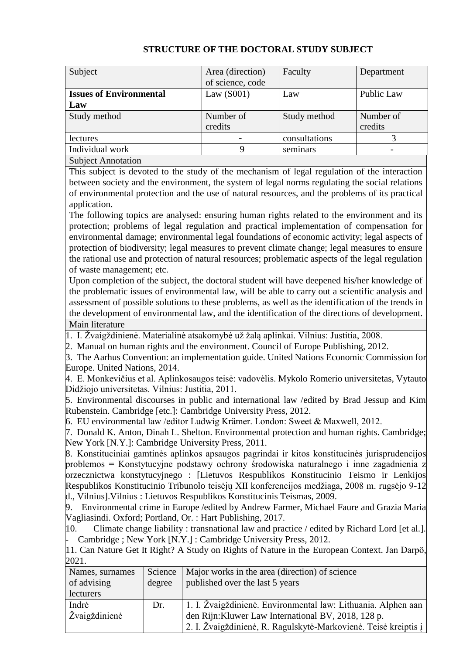| Subject                        | Area (direction) | Faculty       | Department |
|--------------------------------|------------------|---------------|------------|
|                                | of science, code |               |            |
| <b>Issues of Environmental</b> | Law $(S001)$     | Law           | Public Law |
| Law                            |                  |               |            |
| Study method                   | Number of        | Study method  | Number of  |
|                                | credits          |               | credits    |
| lectures                       |                  | consultations |            |
| Individual work                | 9                | seminars      |            |
| <b>Subject Annotation</b>      |                  |               |            |

## **STRUCTURE OF THE DOCTORAL STUDY SUBJECT**

This subject is devoted to the study of the mechanism of legal regulation of the interaction between society and the environment, the system of legal norms regulating the social relations of environmental protection and the use of natural resources, and the problems of its practical application.

The following topics are analysed: ensuring human rights related to the environment and its protection; problems of legal regulation and practical implementation of compensation for environmental damage; environmental legal foundations of economic activity; legal aspects of protection of biodiversity; legal measures to prevent climate change; legal measures to ensure the rational use and protection of natural resources; problematic aspects of the legal regulation of waste management; etc.

Upon completion of the subject, the doctoral student will have deepened his/her knowledge of the problematic issues of environmental law, will be able to carry out a scientific analysis and assessment of possible solutions to these problems, as well as the identification of the trends in the development of environmental law, and the identification of the directions of development. Main literature

1. I. Žvaigždinienė. Materialinė atsakomybė už žalą aplinkai. Vilnius: Justitia, 2008.

2. Manual on human rights and the environment. Council of Europe Publishing, 2012.

3. The Aarhus Convention: an implementation guide. United Nations Economic Commission for Europe. United Nations, 2014.

4. E. Monkevičius et al. Aplinkosaugos teisė: vadovėlis. Mykolo Romerio universitetas, Vytauto Didžiojo universitetas. Vilnius: Justitia, 2011.

5. Environmental discourses in public and international law /edited by Brad Jessup and Kim Rubenstein. Cambridge [etc.]: Cambridge University Press, 2012.

6. EU environmental law /editor Ludwig Krämer. London: Sweet & Maxwell, 2012.

7. Donald K. Anton, Dinah L. Shelton. Environmental protection and human rights. Cambridge; New York [N.Y.]: Cambridge University Press, 2011.

8. Konstituciniai gamtinės aplinkos apsaugos pagrindai ir kitos konstitucinės jurisprudencijos problemos = Konstytucyjne podstawy ochrony środowiska naturalnego i inne zagadnienia z orzecznictwa konstytucyjnego : [Lietuvos Respublikos Konstitucinio Teismo ir Lenkijos Respublikos Konstitucinio Tribunolo teisėjų XII konferencijos medžiaga, 2008 m. rugsėjo 9-12 d., Vilnius].Vilnius : Lietuvos Respublikos Konstitucinis Teismas, 2009.

9. Environmental crime in Europe /edited by Andrew Farmer, Michael Faure and Grazia Maria Vagliasindi. Oxford; Portland, Or. : Hart Publishing, 2017.

10. Climate change liability : transnational law and practice / edited by Richard Lord [et al.]. Cambridge ; New York [N.Y.] : Cambridge University Press, 2012.

11. Can Nature Get It Right? A Study on Rights of Nature in the European Context. Jan Darpö, 2021.

| Names, surnames<br>of advising | Science<br>degree | Major works in the area (direction) of science<br>published over the last 5 years |
|--------------------------------|-------------------|-----------------------------------------------------------------------------------|
| lecturers                      |                   |                                                                                   |
| Indrė                          | Dr.               | 1. I. Žvaigždinienė. Environmental law: Lithuania. Alphen aan                     |
| Žvaigždinienė                  |                   | den Rijn: Kluwer Law International BV, 2018, 128 p.                               |
|                                |                   | 2. I. Žvaigždinienė, R. Ragulskytė-Markovienė. Teisė kreiptis į                   |